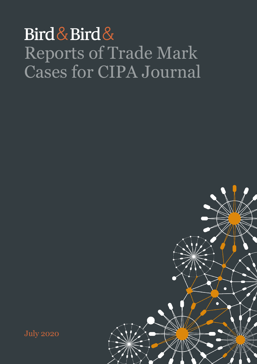## Bird & Bird & Reports of Trade Mark Cases for CIPA Journal



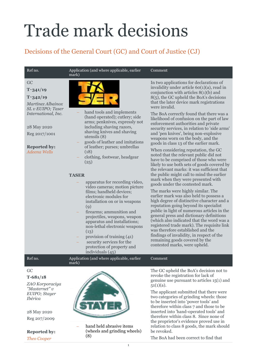# Trade mark decisions

## Decisions of the General Court (GC) and Court of Justice (CJ)

#### Ref no. Application (and where applicable, earlier mark)

## GC **T**‑**341/19**

## **T**‑**342/19**

*Martínez Albainox SL v EUIPO; Taser International, Inc.*

28 May 2020 Reg 2017/1001

**Reported by:** *Adeena Wells*



- hand tools and implements (hand operated); cutlery; side arms; penknives, expressly not including shaving razors, shaving knives and shaving utensils (8)
- goods of leather and imitations of leather; purses; umbrellas (18)
- clothing, footwear, headgear (25)

## **TASER**

mark)

- apparatus for recording video, video cameras; motion picture films; handheld devices; electronic modules for installation on or in weapons  $(q)$
- firearms; ammunition and projectiles, weapons, weapon apparatus and installations; non-lethal electronic weapons  $(13)$
- provision of training (41)
- security services for the
- protection of property and individuals (45)

## Comment

In two applications for declarations of invalidity under article 60(1)(a), read in conjunction with articles 8(1)(b) and 8(5), the GC upheld the BoA's decisions that the later device mark registrations were invalid.

The BoA correctly found that there was a likelihood of confusion on the part of law enforcement authorities and private security services, in relation to 'side arms' and 'pen knives', being non-explosive weapons worn on the body, and the goods in class 13 of the earlier mark.

When considering reputation, the GC noted that the relevant public did not have to be comprised of those who were likely to use both sets of goods covered by the relevant marks: it was sufficient that the public might call to mind the earlier mark when they were presented with goods under the contested mark.

The marks were highly similar. The earlier mark was also held to possess a high degree of distinctive character and a reputation going beyond its specialist public in light of numerous articles in the general press and dictionary definitions (which also indicated that the word was a registered trade mark). The requisite link was therefore established and the findings of invalidity, in respect of the remaining goods covered by the contested marks, were upheld.

Ref no. Application (and where applicable, earlier

GC

## **T-681/18**

*ZAO Korporaciya "Masternet" v EUIPO; Stayer Ibérica*

28 May 2020 Reg 207/2009

**Reported by:**

*Theo Cooper*



 hand held abrasive items (wheels and grinding wheels) (8)

The GC upheld the BoA's decision not to revoke the registration for lack of genuine use pursuant to articles 15(1) and  $51(1)(a)$ .

Comment

The applicant submitted that there were two categories of grinding wheels: those to be inserted into 'power tools' and therefore within class 7 and those to be inserted into 'hand-operated tools' and therefore within class 8. Since none of the proprietor's evidence proved use in relation to class 8 goods, the mark should be revoked.

The BoA had been correct to find that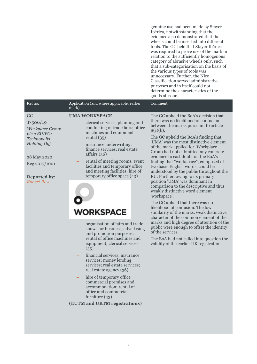genuine use had been made by Stayer Ibérica, notwithstanding that the evidence also demonstrated that the wheels could be inserted into different tools. The GC held that Stayer Ibérica was required to prove use of the mark in relation to the sufficiently homogenous category of abrasive wheels only, such that a sub-categorisation on the basis of the various types of tools was unnecessary. Further, the Nice Classification served administrative purposes and in itself could not determine the characteristics of the goods at issue. Ref no. Application (and where applicable, earlier Comment mark) GC **UMA WORKSPACE** The GC upheld the BoA's decision that there was no likelihood of confusion **T-506/19** clerical services; planning and between the marks pursuant to article conducting of trade fairs; office *Workplace Group*   $8(1)(b)$ . machines and equipment *plc v EUIPO;*  rental (35) The GC upheld the BoA's finding that *Technopolis*  'UMA' was the most distinctive element *Holding Oyj* insurance underwriting; of the mark applied for. Workplace finance services; real estate Group had not submitted any concrete affairs (36) evidence to cast doubt on the BoA's 28 May 2020 rental of meeting rooms, event finding that "workspace", composed of Reg 2017/1001 facilities and temporary office two basic English words, could be and meeting facilities; hire of understood by the public throughout the temporary office space (43) EU. Further, owing to its primary **Reported by:** position 'UMA' was dominant in *Robert Rose* comparison to the descriptive and thus weakly distinctive word element 'workspace'. The GC upheld that there was no likelihood of confusion. The low **VORKSPACE** similarity of the marks, weak distinctive character of the common element of the marks and high degree of attention of the organisation of fairs and trade public were enough to offset the identity shows for business, advertising of the services. and promotion purposes; rental of office machines and The BoA had not called into question the equipment; clerical services validity of the earlier UK registrations. (35) financial services; insurance services; money lending services; real estate services; real estate agency (36) hire of temporary office commercial premises and accommodation; rental of office and commercial furniture (43) **(EUTM and UKTM registrations)**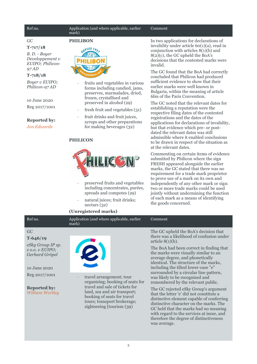#### Ref no. **Application** (and where applicable, earlier mark)

GC

#### **T-717/18**

*B. D. - Boyer Developpement v EUIPO; Philicon-97 AD*

### **T-718/18**

*Boyer v EUIPO; Philicon-97 AD*

10 June 2020 Reg 2017/1001

## **Reported by:**

*Jon Edwards*

## **PHILIBON** EPUIS 195

 fruits and vegetables in various forms including candied, jams, preserves, marmalades, dried, frozen, crystallised and preserved in alcohol (29)

- fresh fruit and vegetables (31)
- fruit drinks and fruit juices. syrups and other preparations for making beverages (32)

## **PHILICON**



- preserved fruits and vegetables including concentrates, purées, spreads and compotes (29)
- natural juices; fruit drinks; nectars (32)

### **(Unregistered marks)**

Ref no. **Application** (and where applicable, earlier

mark)

Comment

In two applications for declarations of invalidity under article 60(1)(a), read in conjunction with articles 8(1)(b) and 8(2)(c), the GC upheld the BoA's decisions that the contested marks were invalid.

The GC found that the BoA had correctly concluded that Philicon had produced sufficient evidence to show that their earlier marks were well known in Bulgaria, within the meaning of article 6bis of the Paris Convention.

The GC noted that the relevant dates for establishing a reputation were the respective filing dates of the contested registrations and the dates of the applications for declarations of invalidity, but that evidence which pre- or postdated the relevant dates was still admissible where it enabled conclusions to be drawn in respect of the situation as at the relevant dates.

Commenting on certain items of evidence submitted by Philicon where the sign FRESH appeared alongside the earlier marks, the GC stated that there was no requirement for a trade mark proprietor to prove use of a mark on its own and independently of any other mark or sign: two or more trade marks could be used jointly without undermining the function of each mark as a means of identifying the goods concerned.

### Comment

GC

**T‑646/19** *eSky Group IP sp. z o.o. v EUIPO; Gerhard Gröpel*

10 June 2020

Reg 2017/1001

**Reported by:** *William Wortley*



 travel arrangement; tour organising; booking of seats for travel and sale of tickets for land, sea and air transport; booking of seats for travel tours; transport brokerage; sightseeing [tourism (39)

The GC upheld the BoA's decision that there was a likelihood of confusion under article  $8(1)(b)$ .

The BoA had been correct in finding that the marks were visually similar to an average degree, and phonetically identical. The structure of the marks, including the tilted lower-case "e" surrounded by a circular line pattern, was likely to be recognised and remembered by the relevant public.

The GC rejected eSky Group's argument that the letter 'e' did not constitute a distinctive element capable of conferring distinctive character on the marks. The GC held that the marks had no meaning with regard to the services at issue, and therefore the degree of distinctiveness was average.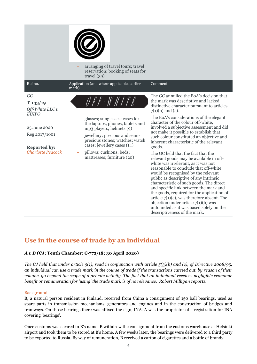|                                                                                                                                         | arranging of travel tours; travel<br>reservation; booking of seats for<br>travel $(39)$                                                                                                                                                                                          |                                                                                                                                                                                                                                                                                                                                                                                                                                                                                                                                                                                                                                                                                                                                                                                                                                                                                                                                                                                       |
|-----------------------------------------------------------------------------------------------------------------------------------------|----------------------------------------------------------------------------------------------------------------------------------------------------------------------------------------------------------------------------------------------------------------------------------|---------------------------------------------------------------------------------------------------------------------------------------------------------------------------------------------------------------------------------------------------------------------------------------------------------------------------------------------------------------------------------------------------------------------------------------------------------------------------------------------------------------------------------------------------------------------------------------------------------------------------------------------------------------------------------------------------------------------------------------------------------------------------------------------------------------------------------------------------------------------------------------------------------------------------------------------------------------------------------------|
| Ref no.                                                                                                                                 | Application (and where applicable, earlier<br>mark)                                                                                                                                                                                                                              | Comment                                                                                                                                                                                                                                                                                                                                                                                                                                                                                                                                                                                                                                                                                                                                                                                                                                                                                                                                                                               |
| GC<br>$T-133/19$<br>Off-White LLC v<br><b>EUIPO</b><br>25 June 2020<br>Reg 2017/1001<br><b>Reported by:</b><br><b>Charlotte Peacock</b> | 0 F F - W H I T E<br>glasses; sunglasses; cases for<br>the laptops, phones, tablets and<br>mp3 players; helmets (9)<br>jewellery; precious and semi-<br>precious stones; watches; watch<br>cases; jewellery cases (14)<br>pillows; cushions; beds;<br>mattresses; furniture (20) | The GC annulled the BoA's decision that<br>the mark was descriptive and lacked<br>distinctive character pursuant to articles<br>$7(1)(b)$ and (c).<br>The BoA's considerations of the elegant<br>character of the colour off-white,<br>involved a subjective assessment and did<br>not make it possible to establish that<br>such colour constituted an objective and<br>inherent characteristic of the relevant<br>goods.<br>The GC held that the fact that the<br>relevant goods may be available in off-<br>white was irrelevant, as it was not<br>reasonable to conclude that off-white<br>would be recognised by the relevant<br>public as descriptive of any intrinsic<br>characteristic of such goods. The direct<br>and specific link between the mark and<br>the goods, required for the application of<br>article $7(1)(c)$ , was therefore absent. The<br>objection under article $7(1)(b)$ was<br>unfounded as it was based solely on the<br>descriptiveness of the mark. |

## **Use in the course of trade by an individual**

## *A v B* **(CJ; Tenth Chamber; C‑772/18; 30 April 2020)**

*The CJ held that under article 5(1), read in conjunction with article 5(3)(b) and (c), of Directive 2008/95, an individual can use a trade mark in the course of trade if the transactions carried out, by reason of their volume, go beyond the scope of a private activity. The fact that an individual receives negligible economic benefit or remuneration for 'using' the trade mark is of no relevance. Robert Milligan reports.*

## Background

B, a natural person resident in Finland, received from China a consignment of 150 ball bearings, used as spare parts in transmission mechanisms, generators and engines and in the construction of bridges and tramways. On those bearings there was affixed the sign, INA. A was the proprietor of a registration for INA covering 'bearings'.

Once customs was cleared in B's name, B withdrew the consignment from the customs warehouse at Helsinki airport and took them to be stored at B's home. A few weeks later, the bearings were delivered to a third party to be exported to Russia. By way of remuneration, B received a carton of cigarettes and a bottle of brandy.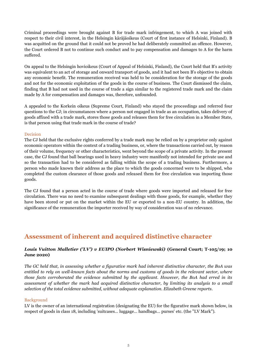Criminal proceedings were brought against B for trade mark infringement, to which A was joined with respect to their civil interest, in the Helsingin käräjäoikeus (Court of first instance of Helsinki, Finland). B was acquitted on the ground that it could not be proved he had deliberately committed an offence. However, the Court ordered B not to continue such conduct and to pay compensation and damages to A for the harm suffered.

On appeal to the Helsingin hovioikeus (Court of Appeal of Helsinki, Finland), the Court held that B's activity was equivalent to an act of storage and onward transport of goods, and it had not been B's objective to obtain any economic benefit. The remuneration received was held to be consideration for the storage of the goods and not for the economic exploitation of the goods in the course of business. The Court dismissed the claim, finding that B had not used in the course of trade a sign similar to the registered trade mark and the claim made by A for compensation and damages was, therefore, unfounded.

A appealed to the Korkein oikeus (Supreme Court, Finland) who stayed the proceedings and referred four questions to the CJ; in circumstances where a person not engaged in trade as an occupation, takes delivery of goods affixed with a trade mark, stores those goods and releases them for free circulation in a Member State, is that person using that trade mark in the course of trade?

## Decision

The CJ held that the exclusive rights conferred by a trade mark may be relied on by a proprietor only against economic operators within the context of a trading business, or, where the transactions carried out, by reason of their volume, frequency or other characteristics, went beyond the scope of a private activity. In the present case, the CJ found that ball bearings used in heavy industry were manifestly not intended for private use and so the transaction had to be considered as falling within the scope of a trading business. Furthermore, a person who made known their address as the place to which the goods concerned were to be shipped, who completed the custom clearance of those goods and released them for free circulation was importing those goods.

The CJ found that a person acted in the course of trade where goods were imported and released for free circulation. There was no need to examine subsequent dealings with those goods, for example, whether they have been stored or put on the market within the EU or exported to a non-EU country. In addition, the significance of the remuneration the importer received by way of consideration was of no relevance.

## **Assessment of inherent and acquired distinctive character**

## *Louis Vuitton Malletier ('LV') v EUIPO (Norbert Wisniewski)* **(General Court; T-105/19; 10 June 2020)**

*The GC held that, in assessing whether a figurative mark had inherent distinctive character, the BoA was entitled to rely on well-known facts about the norms and customs of goods in the relevant sector, where those facts corroborated the evidence submitted by the applicant. However, the BoA had erred in its assessment of whether the mark had acquired distinctive character, by limiting its analysis to a small selection of the total evidence submitted, without adequate explanation. Elizabeth Greene reports.*

## Background

LV is the owner of an international registration (designating the EU) for the figurative mark shown below, in respect of goods in class 18, including 'suitcases… luggage… handbags… purses' etc. (the "LV Mark").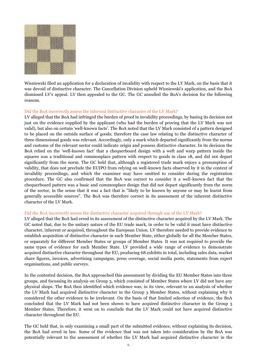

Wisniewski filed an application for a declaration of invalidity with respect to the LV Mark, on the basis that it was devoid of distinctive character. The Cancellation Division upheld Wisniewski's application, and the BoA dismissed LV's appeal. LV then appealed to the GC. The GC annulled the BoA's decision for the following reasons.

## Did the BoA incorrectly assess the inherent distinctive character of the LV Mark?

LV alleged that the BoA had infringed the burden of proof in invalidity proceedings, by basing its decision not just on the evidence supplied by the applicant (who had the burden of proving that the LV Mark was not valid), but also on certain 'well-known facts'. The BoA noted that the LV Mark consisted of a pattern designed to be placed on the outside surface of goods; therefore the case law relating to the distinctive character of three dimensional goods was relevant. Accordingly, only a mark which departed significantly from the norms and customs of the relevant sector could indicate origin and possess distinctive character. In its decision the BoA relied on the 'well-known fact' that a chequerboard design with a weft and warp pattern inside the squares was a traditional and commonplace pattern with respect to goods in class 18, and did not depart significantly from the norm. The GC held that, although a registered trade mark enjoys a presumption of validity, that does not preclude the EUIPO from relying on well-known facts observed by it in the context of invalidity proceedings, and which the examiner may have omitted to consider during the registration procedure. The GC also confirmed that the BoA was correct to consider it a well-known fact that the chequerboard pattern was a basic and commonplace design that did not depart significantly from the norm of the sector, in the sense that it was a fact that is "likely to be known by anyone or may be learnt from generally accessible sources". The BoA was therefore correct in its assessment of the inherent distinctive character of the LV Mark.

### Did the BoA incorrectly assess the distinctive character acquired through use of the LV Mark?

LV alleged that the BoA had erred in its assessment of the distinctive character acquired by the LV Mark. The GC noted that, due to the unitary nature of the EU trade mark, in order to be valid it must have distinctive character, inherent or acquired, throughout the European Union. LV therefore needed to provide evidence to establish acquisition of distinctive character in each Member State, either globally for all the Member States, or separately for different Member States or groups of Member States. It was not required to provide the same types of evidence for each Member State. LV provided a wide range of evidence to demonstrate acquired distinctive character throughout the EU, producing 68 exhibits in total, including sales data, market share figures, invoices, advertising campaigns, press coverage, social media posts, statements from expert organisations, and public surveys.

In the contested decision, the BoA approached this assessment by dividing the EU Member States into three groups, and focussing its analysis on Group 3, which consisted of Member States where LV did not have any physical shops. The BoA then identified which evidence was, in its view, relevant to an analysis of whether the LV Mark had acquired distinctive character in the Group 3 Member States, without explaining why it considered the other evidence to be irrelevant. On the basis of that limited selection of evidence, the BoA concluded that the LV Mark had not been shown to have acquired distinctive character in the Group 3 Member States. Therefore, it went on to conclude that the LV Mark could not have acquired distinctive character throughout the EU.

The GC held that, in only examining a small part of the submitted evidence, without explaining its decision, the BoA had erred in law. Some of the evidence that was not taken into consideration by the BoA was potentially relevant to the assessment of whether the LV Mark had acquired distinctive character in the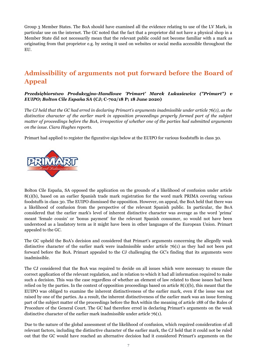Group 3 Member States. The BoA should have examined all the evidence relating to use of the LV Mark, in particular use on the internet. The GC noted that the fact that a proprietor did not have a physical shop in a Member State did not necessarily mean that the relevant public could not become familiar with a mark as originating from that proprietor e.g. by seeing it used on websites or social media accessible throughout the EU.

## **Admissibility of arguments not put forward before the Board of Appeal**

## *Przedsiębiorstwo Produkcyjno-Handlowe 'Primart' Marek Łukasiewicz ("Primart") v EUIPO; Bolton Cile España SA* **(CJ; C-702/18 P; 18 June 2020)**

*The CJ held that the GC had erred in declaring Primart's arguments inadmissible under article 76(1), as the distinctive character of the earlier mark in opposition proceedings properly formed part of the subject matter of proceedings before the BoA, irrespective of whether one of the parties had submitted arguments on the issue. Ciara Hughes reports.*

Primart had applied to register the figurative sign below at the EUIPO for various foodstuffs in class 30.



Bolton Cile España, SA opposed the application on the grounds of a likelihood of confusion under article 8(1)(b), based on an earlier Spanish trade mark registration for the word mark PRIMA covering various foodstuffs in class 30. The EUIPO dismissed the opposition. However, on appeal, the BoA held that there was a likelihood of confusion from the perspective of the relevant Spanish public. In particular, the BoA considered that the earlier mark's level of inherent distinctive character was average as the word 'prima' meant 'female cousin' or 'bonus payment' for the relevant Spanish consumer, so would not have been understood as a laudatory term as it might have been in other languages of the European Union. Primart appealed to the GC.

The GC upheld the BoA's decision and considered that Primart's arguments concerning the allegedly weak distinctive character of the earlier mark were inadmissible under article 76(1) as they had not been put forward before the BoA. Primart appealed to the CJ challenging the GC's finding that its arguments were inadmissible.

The CJ considered that the BoA was required to decide on all issues which were necessary to ensure the correct application of the relevant regulation, and in relation to which it had all information required to make such a decision. This was the case regardless of whether an element of law related to those issues had been relied on by the parties. In the context of opposition proceedings based on article 8(1)(b), this meant that the EUIPO was obliged to examine the inherent distinctiveness of the earlier mark, even if the issue was not raised by one of the parties. As a result, the inherent distinctiveness of the earlier mark was an issue forming part of the subject matter of the proceedings before the BoA within the meaning of article 188 of the Rules of Procedure of the General Court. The GC had therefore erred in declaring Primart's arguments on the weak distinctive character of the earlier mark inadmissible under article 76(1).

Due to the nature of the global assessment of the likelihood of confusion, which required consideration of all relevant factors, including the distinctive character of the earlier mark, the CJ held that it could not be ruled out that the GC would have reached an alternative decision had it considered Primart's arguments on the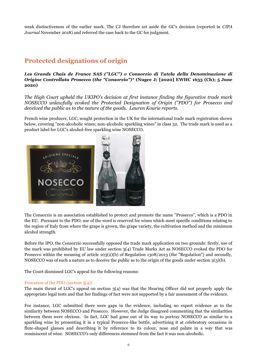weak distinctiveness of the earlier mark. The CJ therefore set aside the GC's decision (reported in *CIPA Journal* November 2018) and referred the case back to the GC for judgment.

## **Protected designations of origin**

*Les Grands Chais de France SAS ("LGC") v Consorzio di Tutela della Denominazione di Origine Controllata Prosecco (the "Consorzio")\** **(Nugee J; [2020] EWHC 1633 (Ch); 5 June 2020)**

*The High Court upheld the UKIPO's decision at first instance finding the figurative trade mark NOSECCO unlawfully evoked the Protected Designation of Origin ("PDO") for Prosecco and deceived the public as to the nature of the goods. Lauren Kourie reports.*

French wine producer, LGC, sought protection in the UK for the international trade mark registration shown below, covering "non-alcoholic wines; non-alcoholic sparkling wines" in class 32. The trade mark is used as a product label for LGC's alcohol-free sparkling wine NOSECCO.



The Consorzio is an association established to protect and promote the name "Prosecco", which is a PDO in the EU. Pursuant to the PDO, use of the word is reserved for wines which meet specific conditions relating to the region of Italy from where the grape is grown, the grape variety, the cultivation method and the minimum alcohol strength.

Before the IPO, the Consorzio successfully opposed the trade mark application on two grounds: firstly, use of the mark was prohibited by EU law under section 3(4) Trade Marks Act as NOSECCO evoked the PDO for Prosecco within the meaning of article 103(2)(b) of Regulation 1308/2013 (the "Regulation") and secondly, NOSECCO was of such a nature as to deceive the public as to the origin of the goods under section 3(3)(b).

The Court dismissed LGC's appeal for the following reasons:

## Evocation of the PDO (section 3(4))

The main thrust of LGC's appeal on section 3(4) was that the Hearing Officer did not properly apply the appropriate legal tests and that her findings of fact were not supported by a fair assessment of the evidence.

For instance, LGC submitted there were gaps in the evidence, including no expert evidence as to the similarity between NOSECCO and Prosecco. However, the Judge disagreed commenting that the similarities between them were obvious. In fact, LGC had gone out of its way to portray NOSECCO as similar to a sparkling wine by presenting it in a typical Prosecco-like bottle, advertising it at celebratory occasions in flute-shaped glasses and describing it by reference to its colour, nose and palate in a way that was reminiscent of wine. NOSECCO's only differences stemmed from the fact it was non-alcoholic.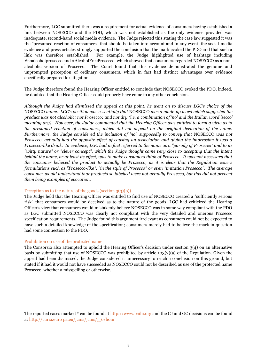Furthermore, LGC submitted there was a requirement for actual evidence of consumers having established a link between NOSECCO and the PDO, which was not established as the only evidence provided was inadequate, second-hand social media evidence. The Judge rejected this stating the case law suggested it was the "presumed reaction of consumers" that should be taken into account and in any event, the social media evidence and press articles strongly supported the conclusion that the mark evoked the PDO and that such a link was therefore established. For example, the Judge highlighted use of hashtags including #noalcoholprosecco and #AlcoholFreeProsecco, which showed that consumers regarded NOSECCO as a nonalcoholic version of Prosecco. The Court found that this evidence demonstrated the genuine and unprompted perception of ordinary consumers, which in fact had distinct advantages over evidence specifically prepared for litigation.

The Judge therefore found the Hearing Officer entitled to conclude that NOSECCO evoked the PDO, indeed, he doubted that the Hearing Officer could properly have come to any other conclusion.

*Although the Judge had dismissed the appeal at this point, he went on to discuss LGC's choice of the*  NOSECCO *name. LGC's position was essentially that* NOSECCO *was a made-up word which suggested the product was not alcoholic; not Prosecco; and not dry (i.e. a combination of 'no' and the Italian word 'secco' meaning dry). However, the Judge commented that the Hearing Officer was entitled to form a view as to the presumed reaction of consumers, which did not depend on the original derivation of the name. Furthermore, the Judge considered the inclusion of 'no', supposedly to convey that NOSECCO was not Prosecco, actually had the opposite effect of causing an association and giving the impression it was a Prosecco-like drink. In evidence, LGC had in fact referred to the name as a "parody of Prosecco" and to its "witty nature" or "clever concept", which the Judge thought came very close to accepting that the intent behind the name, or at least its effect, was to make consumers think of Prosecco. It was not necessary that the consumer believed the product to actually be Prosecco, as it is clear that the Regulation covers formulations such as "Prosecco-like", "in the style of Prosecco" or even "imitation Prosecco". The average consumer would understand that products so labelled were not actually Prosecco, but this did not prevent them being examples of evocation.* 

### Deception as to the nature of the goods (section 3(3)(b))

The Judge held that the Hearing Officer was entitled to find use of NOSECCO created a "sufficiently serious risk" that consumers would be deceived as to the nature of the goods. LGC had criticized the Hearing Officer's view that consumers would mistakenly believe NOSECCO was in some way compliant with the PDO as LGC submitted NOSECCO was clearly not compliant with the very detailed and onerous Prosecco specification requirements. The Judge found this argument irrelevant as consumers could not be expected to have such a detailed knowledge of the specification; consumers merely had to believe the mark in question had some connection to the PDO.

### Prohibition on use of the protected name

The Consorzio also attempted to uphold the Hearing Officer's decision under section 3(4) on an alternative basis by submitting that use of NOSECCO was prohibited by article 103(2)(a) of the Regulation. Given the appeal had been dismissed, the Judge considered it unnecessary to reach a conclusion on this ground, but stated if it had it would not have succeeded as NOSECCO could not be described as use of the protected name Prosecco, whether a misspelling or otherwise.

The reported cases marked \* can be found at http://www.bailii.org and the CJ and GC decisions can be found at http://curia.euro pa.eu/jcms/jcms/j\_6/hom